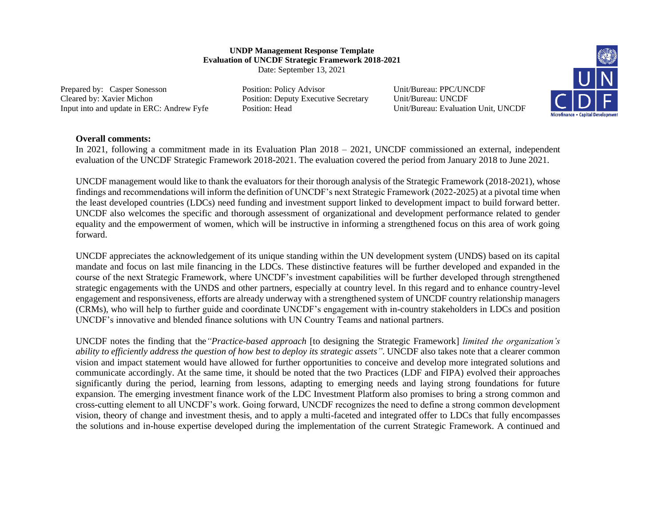## **UNDP Management Response Template Evaluation of UNCDF Strategic Framework 2018-2021** Date: September 13, 2021

Prepared by: Casper Sonesson Position: Policy Advisor Unit/Bureau: PPC/UNCDF Cleared by: Xavier Michon Position: Deputy Executive Secretary Unit/Bureau: UNCDF Input into and update in ERC: Andrew Fyfe Position: Head Unit/Bureau: Evaluation Unit, UNCDF



## **Overall comments:**

In 2021, following a commitment made in its Evaluation Plan 2018 – 2021, UNCDF commissioned an external, independent evaluation of the UNCDF Strategic Framework 2018-2021. The evaluation covered the period from January 2018 to June 2021.

UNCDF management would like to thank the evaluators for their thorough analysis of the Strategic Framework (2018-2021), whose findings and recommendations will inform the definition of UNCDF's next Strategic Framework (2022-2025) at a pivotal time when the least developed countries (LDCs) need funding and investment support linked to development impact to build forward better. UNCDF also welcomes the specific and thorough assessment of organizational and development performance related to gender equality and the empowerment of women, which will be instructive in informing a strengthened focus on this area of work going forward.

UNCDF appreciates the acknowledgement of its unique standing within the UN development system (UNDS) based on its capital mandate and focus on last mile financing in the LDCs. These distinctive features will be further developed and expanded in the course of the next Strategic Framework, where UNCDF's investment capabilities will be further developed through strengthened strategic engagements with the UNDS and other partners, especially at country level. In this regard and to enhance country-level engagement and responsiveness, efforts are already underway with a strengthened system of UNCDF country relationship managers (CRMs), who will help to further guide and coordinate UNCDF's engagement with in-country stakeholders in LDCs and position UNCDF's innovative and blended finance solutions with UN Country Teams and national partners.

UNCDF notes the finding that the*"Practice-based approach* [to designing the Strategic Framework] *limited the organization's ability to efficiently address the question of how best to deploy its strategic assets"*. UNCDF also takes note that a clearer common vision and impact statement would have allowed for further opportunities to conceive and develop more integrated solutions and communicate accordingly. At the same time, it should be noted that the two Practices (LDF and FIPA) evolved their approaches significantly during the period, learning from lessons, adapting to emerging needs and laying strong foundations for future expansion. The emerging investment finance work of the LDC Investment Platform also promises to bring a strong common and cross-cutting element to all UNCDF's work. Going forward, UNCDF recognizes the need to define a strong common development vision, theory of change and investment thesis, and to apply a multi-faceted and integrated offer to LDCs that fully encompasses the solutions and in-house expertise developed during the implementation of the current Strategic Framework. A continued and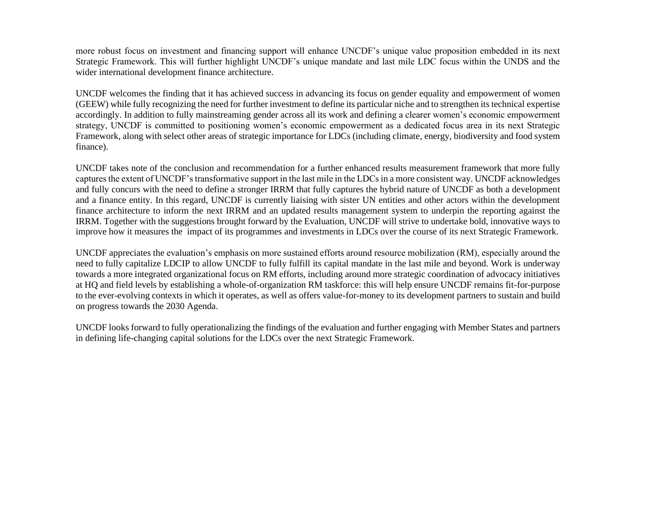more robust focus on investment and financing support will enhance UNCDF's unique value proposition embedded in its next Strategic Framework. This will further highlight UNCDF's unique mandate and last mile LDC focus within the UNDS and the wider international development finance architecture.

UNCDF welcomes the finding that it has achieved success in advancing its focus on gender equality and empowerment of women (GEEW) while fully recognizing the need for further investment to define its particular niche and to strengthen its technical expertise accordingly. In addition to fully mainstreaming gender across all its work and defining a clearer women's economic empowerment strategy, UNCDF is committed to positioning women's economic empowerment as a dedicated focus area in its next Strategic Framework, along with select other areas of strategic importance for LDCs (including climate, energy, biodiversity and food system finance).

UNCDF takes note of the conclusion and recommendation for a further enhanced results measurement framework that more fully captures the extent of UNCDF's transformative support in the last mile in the LDCs in a more consistent way. UNCDF acknowledges and fully concurs with the need to define a stronger IRRM that fully captures the hybrid nature of UNCDF as both a development and a finance entity. In this regard, UNCDF is currently liaising with sister UN entities and other actors within the development finance architecture to inform the next IRRM and an updated results management system to underpin the reporting against the IRRM. Together with the suggestions brought forward by the Evaluation, UNCDF will strive to undertake bold, innovative ways to improve how it measures the impact of its programmes and investments in LDCs over the course of its next Strategic Framework.

UNCDF appreciates the evaluation's emphasis on more sustained efforts around resource mobilization (RM), especially around the need to fully capitalize LDCIP to allow UNCDF to fully fulfill its capital mandate in the last mile and beyond. Work is underway towards a more integrated organizational focus on RM efforts, including around more strategic coordination of advocacy initiatives at HQ and field levels by establishing a whole-of-organization RM taskforce: this will help ensure UNCDF remains fit-for-purpose to the ever-evolving contexts in which it operates, as well as offers value-for-money to its development partners to sustain and build on progress towards the 2030 Agenda.

UNCDF looks forward to fully operationalizing the findings of the evaluation and further engaging with Member States and partners in defining life-changing capital solutions for the LDCs over the next Strategic Framework.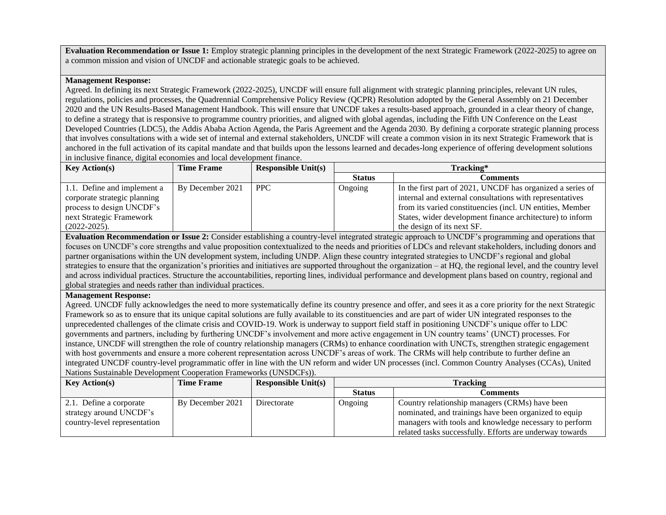**Evaluation Recommendation or Issue 1:** Employ strategic planning principles in the development of the next Strategic Framework (2022-2025) to agree on a common mission and vision of UNCDF and actionable strategic goals to be achieved.

## **Management Response:**

Agreed. In defining its next Strategic Framework (2022-2025), UNCDF will ensure full alignment with strategic planning principles, relevant UN rules, regulations, policies and processes, the Quadrennial Comprehensive Policy Review (QCPR) Resolution adopted by the General Assembly on 21 December 2020 and the UN Results-Based Management Handbook. This will ensure that UNCDF takes a results-based approach, grounded in a clear theory of change, to define a strategy that is responsive to programme country priorities, and aligned with global agendas, including the Fifth UN Conference on the Least Developed Countries (LDC5), the Addis Ababa Action Agenda, the Paris Agreement and the Agenda 2030. By defining a corporate strategic planning process that involves consultations with a wide set of internal and external stakeholders, UNCDF will create a common vision in its next Strategic Framework that is anchored in the full activation of its capital mandate and that builds upon the lessons learned and decades-long experience of offering development solutions in inclusive finance, digital economies and local development finance.

| <b>Key Action(s)</b>         | <b>Time Frame</b> | <b>Responsible Unit(s)</b> | Tracking*     |                                                            |
|------------------------------|-------------------|----------------------------|---------------|------------------------------------------------------------|
|                              |                   |                            | <b>Status</b> | Comments                                                   |
| 1.1. Define and implement a  | By December 2021  | <b>PPC</b>                 | Ongoing       | In the first part of 2021, UNCDF has organized a series of |
| corporate strategic planning |                   |                            |               | internal and external consultations with representatives   |
| process to design UNCDF's    |                   |                            |               | from its varied constituencies (incl. UN entities, Member  |
| next Strategic Framework     |                   |                            |               | States, wider development finance architecture) to inform  |
| $(2022 - 2025)$ .            |                   |                            |               | the design of its next SF.                                 |

**Evaluation Recommendation or Issue 2:** Consider establishing a country-level integrated strategic approach to UNCDF's programming and operations that focuses on UNCDF's core strengths and value proposition contextualized to the needs and priorities of LDCs and relevant stakeholders, including donors and partner organisations within the UN development system, including UNDP. Align these country integrated strategies to UNCDF's regional and global strategies to ensure that the organization's priorities and initiatives are supported throughout the organization – at HQ, the regional level, and the country level and across individual practices. Structure the accountabilities, reporting lines, individual performance and development plans based on country, regional and global strategies and needs rather than individual practices.

## **Management Response:**

Agreed. UNCDF fully acknowledges the need to more systematically define its country presence and offer, and sees it as a core priority for the next Strategic Framework so as to ensure that its unique capital solutions are fully available to its constituencies and are part of wider UN integrated responses to the unprecedented challenges of the climate crisis and COVID-19. Work is underway to support field staff in positioning UNCDF's unique offer to LDC governments and partners, including by furthering UNCDF's involvement and more active engagement in UN country teams' (UNCT) processes. For instance, UNCDF will strengthen the role of country relationship managers (CRMs) to enhance coordination with UNCTs, strengthen strategic engagement with host governments and ensure a more coherent representation across UNCDF's areas of work. The CRMs will help contribute to further define an integrated UNCDF country-level programmatic offer in line with the UN reform and wider UN processes (incl. Common Country Analyses (CCAs), United Nations Sustainable Development Cooperation Frameworks (UNSDCFs)).

| Key Action(s)                | <b>Time Frame</b> | Responsible $Unit(s)$ | <b>Tracking</b> |                                                          |
|------------------------------|-------------------|-----------------------|-----------------|----------------------------------------------------------|
|                              |                   |                       | <b>Status</b>   | Comments                                                 |
| 2.1. Define a corporate      | By December 2021  | Directorate           | Ongoing         | Country relationship managers (CRMs) have been           |
| strategy around UNCDF's      |                   |                       |                 | nominated, and trainings have been organized to equip    |
| country-level representation |                   |                       |                 | managers with tools and knowledge necessary to perform   |
|                              |                   |                       |                 | related tasks successfully. Efforts are underway towards |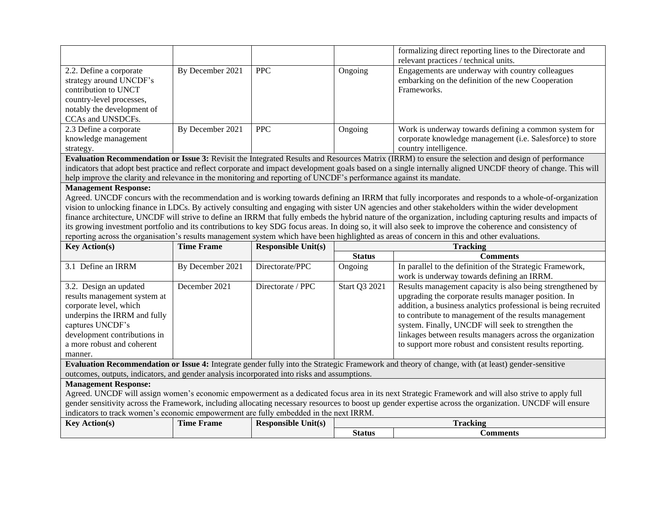|                                                                                                                                                           |                  |            |         | formalizing direct reporting lines to the Directorate and<br>relevant practices / technical units.                                          |
|-----------------------------------------------------------------------------------------------------------------------------------------------------------|------------------|------------|---------|---------------------------------------------------------------------------------------------------------------------------------------------|
| 2.2. Define a corporate<br>strategy around UNCDF's<br>contribution to UNCT<br>country-level processes,<br>notably the development of<br>CCAs and UNSDCFs. | By December 2021 | <b>PPC</b> | Ongoing | Engagements are underway with country colleagues<br>embarking on the definition of the new Cooperation<br>Frameworks.                       |
| 2.3 Define a corporate<br>knowledge management<br>strategy.                                                                                               | By December 2021 | <b>PPC</b> | Ongoing | Work is underway towards defining a common system for<br>corporate knowledge management (i.e. Salesforce) to store<br>country intelligence. |

**Evaluation Recommendation or Issue 3:** Revisit the Integrated Results and Resources Matrix (IRRM) to ensure the selection and design of performance indicators that adopt best practice and reflect corporate and impact development goals based on a single internally aligned UNCDF theory of change. This will help improve the clarity and relevance in the monitoring and reporting of UNCDF's performance against its mandate.

## **Management Response:**

Agreed. UNCDF concurs with the recommendation and is working towards defining an IRRM that fully incorporates and responds to a whole-of-organization vision to unlocking finance in LDCs. By actively consulting and engaging with sister UN agencies and other stakeholders within the wider development finance architecture, UNCDF will strive to define an IRRM that fully embeds the hybrid nature of the organization, including capturing results and impacts of its growing investment portfolio and its contributions to key SDG focus areas. In doing so, it will also seek to improve the coherence and consistency of reporting across the organisation's results management system which have been highlighted as areas of concern in this and other evaluations.

| <b>Key Action(s)</b>                                                                                                                                      | <b>Time Frame</b> | <b>Responsible Unit(s)</b> | <b>Tracking</b> |                                                                |  |
|-----------------------------------------------------------------------------------------------------------------------------------------------------------|-------------------|----------------------------|-----------------|----------------------------------------------------------------|--|
|                                                                                                                                                           |                   |                            | <b>Status</b>   | <b>Comments</b>                                                |  |
| 3.1 Define an IRRM                                                                                                                                        | By December 2021  | Directorate/PPC            | Ongoing         | In parallel to the definition of the Strategic Framework,      |  |
|                                                                                                                                                           |                   |                            |                 | work is underway towards defining an IRRM.                     |  |
| 3.2. Design an updated                                                                                                                                    | December 2021     | Directorate / PPC          | Start Q3 2021   | Results management capacity is also being strengthened by      |  |
| results management system at                                                                                                                              |                   |                            |                 | upgrading the corporate results manager position. In           |  |
| corporate level, which                                                                                                                                    |                   |                            |                 | addition, a business analytics professional is being recruited |  |
| underpins the IRRM and fully                                                                                                                              |                   |                            |                 | to contribute to management of the results management          |  |
| captures UNCDF's                                                                                                                                          |                   |                            |                 | system. Finally, UNCDF will seek to strengthen the             |  |
| development contributions in                                                                                                                              |                   |                            |                 | linkages between results managers across the organization      |  |
| a more robust and coherent                                                                                                                                |                   |                            |                 | to support more robust and consistent results reporting.       |  |
| manner.                                                                                                                                                   |                   |                            |                 |                                                                |  |
| <b>Evaluation Recommendation or Issue 4:</b> Integrate gender fully into the Strategic Framework and theory of change, with (at least) gender-sensitive   |                   |                            |                 |                                                                |  |
| outcomes, outputs, indicators, and gender analysis incorporated into risks and assumptions.                                                               |                   |                            |                 |                                                                |  |
| <b>Management Response:</b>                                                                                                                               |                   |                            |                 |                                                                |  |
| Agreed. UNCDF will assign women's economic empowerment as a dedicated focus area in its next Strategic Framework and will also strive to apply full       |                   |                            |                 |                                                                |  |
| gender sensitivity across the Framework, including allocating necessary resources to boost up gender expertise across the organization. UNCDF will ensure |                   |                            |                 |                                                                |  |
| indicators to track women's economic empowerment are fully embedded in the next IRRM.                                                                     |                   |                            |                 |                                                                |  |
| <b>Key Action(s)</b>                                                                                                                                      | <b>Time Frame</b> | <b>Responsible Unit(s)</b> | <b>Tracking</b> |                                                                |  |
|                                                                                                                                                           |                   |                            | <b>Status</b>   | <b>Comments</b>                                                |  |